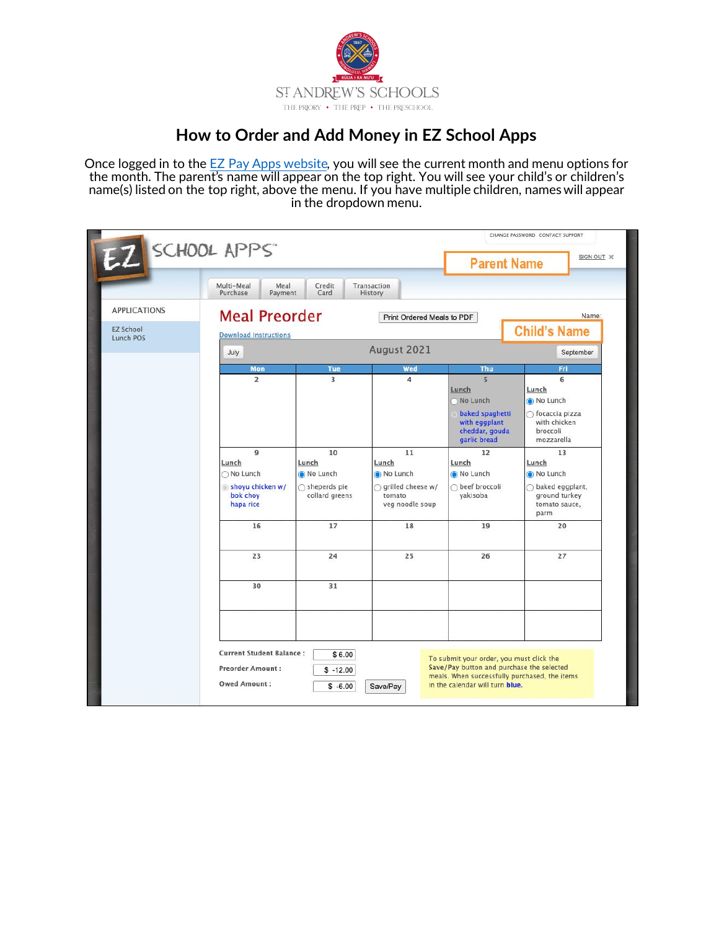

## **How to Order and Add Money in EZ School Apps**

Once logged in to the <u>EZ Pay Apps website</u>, you will see the current month and menu options for the month. The parent's name will appear on the top right. You will see your child's or children's name(s) listed on the top right, above the menu. If you have multiple children, names will appear in the dropdown menu.

|                               |                                                                                   |                                          |                                                           |                                                                                                                          | CHANGE PASSWORD CONTACT SUPPORT                                      |
|-------------------------------|-----------------------------------------------------------------------------------|------------------------------------------|-----------------------------------------------------------|--------------------------------------------------------------------------------------------------------------------------|----------------------------------------------------------------------|
|                               | SCHOOL APPS                                                                       |                                          |                                                           | <b>Parent Name</b>                                                                                                       | SIGN OUT X                                                           |
|                               | Multi-Meal<br>Meal<br>Purchase<br>Payment                                         | Credit<br>Card                           | Transaction<br>History                                    |                                                                                                                          |                                                                      |
| <b>APPLICATIONS</b>           | <b>Meal Preorder</b>                                                              |                                          | Print Ordered Meals to PDF                                |                                                                                                                          | Name:                                                                |
| <b>EZ School</b><br>Lunch POS | <b>Download Instructions</b>                                                      | <b>Child's Name</b>                      |                                                           |                                                                                                                          |                                                                      |
|                               | July                                                                              | August 2021                              |                                                           | September                                                                                                                |                                                                      |
|                               | Mon                                                                               | <b>Tue</b>                               | Wed                                                       | Thu                                                                                                                      | Fri                                                                  |
|                               | $\overline{2}$                                                                    | 3                                        | $\overline{4}$                                            | 5<br>Lunch<br>No Lunch                                                                                                   | 6<br>Lunch<br>No Lunch                                               |
|                               |                                                                                   |                                          |                                                           | baked spaghetti<br>with eggplant<br>cheddar, gouda<br>garlic bread                                                       | $\bigcap$ focaccia pizza<br>with chicken<br>broccoli<br>mozzarella   |
|                               | 9<br>Lunch<br>○ No Lunch                                                          | 10<br>Lunch<br>No Lunch                  | 11<br>Lunch<br>No Lunch                                   | 12<br>Lunch<br>No Lunch                                                                                                  | 13<br>Lunch<br>No Lunch                                              |
|                               | shoyu chicken w/<br>bok choy<br>hapa rice                                         | $\bigcap$ sheperds pie<br>collard greens | $\bigcirc$ grilled cheese w/<br>tomato<br>veg noodle soup | ○ beef broccoli<br>yakisoba                                                                                              | $\bigcirc$ baked eggplant,<br>ground turkey<br>tomato sauce,<br>parm |
|                               | 16                                                                                | 17                                       | 18                                                        | 19                                                                                                                       | 20                                                                   |
|                               | 23                                                                                | 24                                       | 25                                                        | 26                                                                                                                       | 27                                                                   |
|                               | 30                                                                                | 31                                       |                                                           |                                                                                                                          |                                                                      |
|                               |                                                                                   |                                          |                                                           |                                                                                                                          |                                                                      |
|                               | <b>Current Student Balance:</b><br><b>Preorder Amount:</b><br><b>Owed Amount:</b> | \$6.00<br>$$ -12.00$<br>$$ -6.00$        | Save/Pay                                                  | To submit your order, you must click the<br>Save/Pay button and purchase the selected<br>in the calendar will turn blue. | meals. When successfully purchased, the items                        |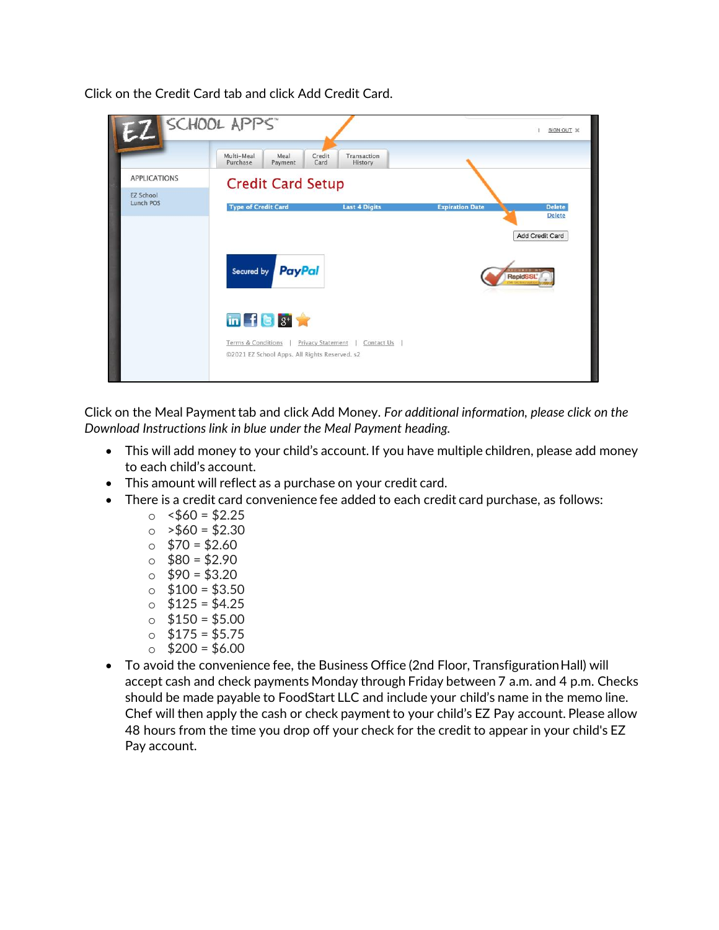|                               | Z SCHOOL APPS                                                                                                            | SIGN OUT X                              |
|-------------------------------|--------------------------------------------------------------------------------------------------------------------------|-----------------------------------------|
|                               | Credit<br>Multi-Meal<br>Meal<br>Transaction<br>Purchase<br>Payment<br>Card<br>History                                    |                                         |
| <b>APPLICATIONS</b>           | <b>Credit Card Setup</b>                                                                                                 |                                         |
| <b>EZ School</b><br>Lunch POS | <b>Type of Credit Card</b><br><b>Last 4 Digits</b>                                                                       | <b>Delete</b><br><b>Expiration Date</b> |
|                               |                                                                                                                          | <b>Delete</b>                           |
|                               |                                                                                                                          | Add Credit Card                         |
|                               | PayPal<br>Secured by                                                                                                     | RapidSSL <sup>1</sup>                   |
|                               | in $f$ $g$ $s$ <sup>+</sup>                                                                                              |                                         |
|                               | <b>Terms &amp; Conditions</b><br><b>Privacy Statement</b><br>Contact Us<br>@2021 EZ School Apps. All Rights Reserved. s2 |                                         |

Click on the Credit Card tab and click Add Credit Card.

Click on the Meal Payment tab and click Add Money. *For additional information, please click on the Download Instructions link in blue under the Meal Payment heading.*

- This will add money to your child's account. If you have multiple children, please add money to each child's account.
- This amount will reflect as a purchase on your credit card.
- There is a credit card convenience fee added to each credit card purchase, as follows:
	- $\circ$  <\$60 = \$2.25
	- $\circ$  > \$60 = \$2.30
	- $\circ$  \$70 = \$2.60
	- $\circ$  \$80 = \$2.90
	- $\circ$  \$90 = \$3.20
	- $\circ$  \$100 = \$3.50
	- $\circ$  \$125 = \$4.25
	- $\circ$  \$150 = \$5.00
	- $\circ$  \$175 = \$5.75
	- $\circ$  \$200 = \$6.00
- To avoid the convenience fee, the Business Office (2nd Floor, Transfiguration Hall) will accept cash and check payments Monday through Friday between 7 a.m. and 4 p.m. Checks should be made payable to FoodStart LLC and include your child's name in the memo line. Chef will then apply the cash or check payment to your child's EZ Pay account. Please allow 48 hours from the time you drop off your check for the credit to appear in your child's EZ Pay account.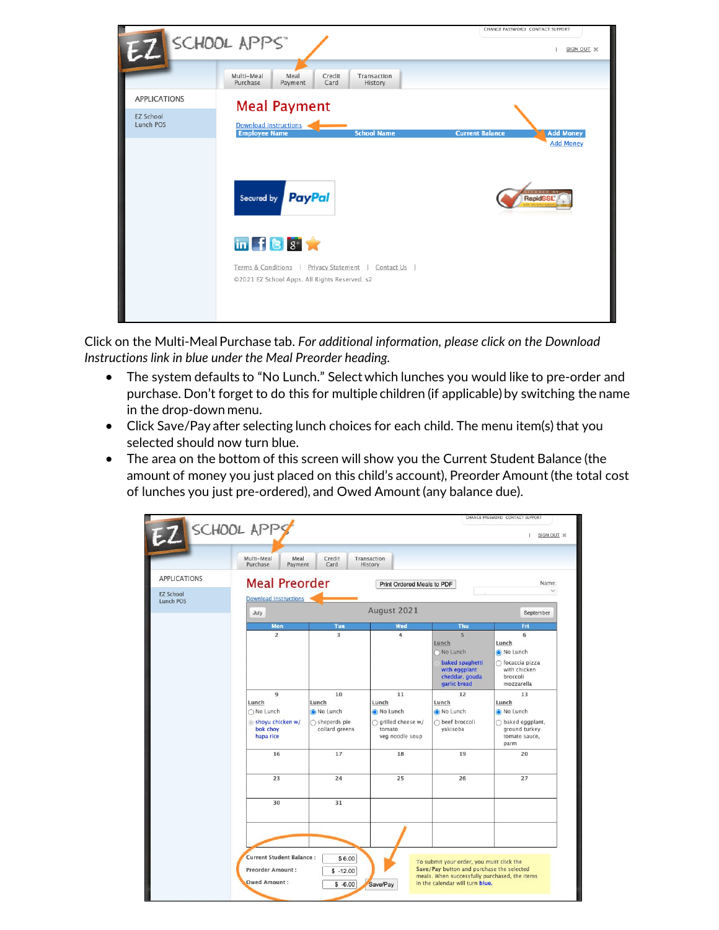

Click on the Multi-Meal Purchase tab. *For additional information, please click on the Download Instructions link in blue under the Meal Preorder heading.* 

- The system defaults to "No Lunch." Select which lunches you would like to pre-order and purchase. Don't forget to do this for multiple children (if applicable) by switching the name in the drop-down menu.
- Click Save/Pay after selecting lunch choices for each child. The menu item(s) that you selected should now turn blue.
- The area on the bottom of this screen will show you the Current Student Balance (the amount of money you just placed on this child's account), Preorder Amount (the total cost of lunches you just pre-ordered), and Owed Amount (any balance due).

|                               | SCHOOL APPS                                                                       |                                                                     |                                                                                      |                                                                                                                                                                           | CHANGE PASSWORD CONTACT SUPPORT<br>SIGN OUT X                                                   |
|-------------------------------|-----------------------------------------------------------------------------------|---------------------------------------------------------------------|--------------------------------------------------------------------------------------|---------------------------------------------------------------------------------------------------------------------------------------------------------------------------|-------------------------------------------------------------------------------------------------|
|                               | Multi-Meal<br>Meal<br>Purchase<br>Payment                                         | Credit<br>Card                                                      | Transaction<br>History                                                               |                                                                                                                                                                           |                                                                                                 |
| <b>APPLICATIONS</b>           | <b>Meal Preorder</b>                                                              |                                                                     | Print Ordered Meals to PDF                                                           |                                                                                                                                                                           | Name:                                                                                           |
| <b>EZ School</b><br>Lunch POS | <b>Download Instructions</b>                                                      |                                                                     |                                                                                      |                                                                                                                                                                           |                                                                                                 |
|                               | July                                                                              |                                                                     | August 2021                                                                          |                                                                                                                                                                           | September                                                                                       |
|                               | Mon                                                                               | <b>Tue</b>                                                          | Wed                                                                                  | Thu                                                                                                                                                                       | Fri                                                                                             |
|                               | $\overline{2}$                                                                    | 3                                                                   | $\overline{4}$                                                                       | $\overline{5}$<br>Lunch<br>No Lunch<br>baked spaghetti<br>with eggplant<br>cheddar, gouda<br>garlic bread                                                                 | 6<br>Lunch<br>No Lunch<br>$\bigcap$ focaccia pizza<br>with chicken<br>broccoli<br>mozzarella    |
|                               | 9<br>Lunch<br>○ No Lunch<br>shoyu chicken w/<br>bok choy<br>hapa rice             | 10<br>Lunch<br>No Lunch<br>$\bigcap$ sheperds pie<br>collard greens | 11<br>Lunch<br>No Lunch<br>$\bigcirc$ grilled cheese w/<br>tomato<br>veg noodle soup | 12<br>Lunch<br>No Lunch<br>○ beef broccoli<br>yakisoba                                                                                                                    | 13<br>Lunch<br>No Lunch<br>$\bigcirc$ baked eggplant,<br>ground turkey<br>tomato sauce,<br>parm |
|                               | 16                                                                                | 17                                                                  | 18                                                                                   | 19                                                                                                                                                                        | 20                                                                                              |
|                               | 23                                                                                | 24                                                                  | 25                                                                                   | 26                                                                                                                                                                        | 27                                                                                              |
|                               | 30                                                                                | 31                                                                  |                                                                                      |                                                                                                                                                                           |                                                                                                 |
|                               | <b>Current Student Balance:</b><br><b>Preorder Amount:</b><br><b>Owed Amount:</b> | \$6.00<br>$$ -12.00$<br>$$ -6.00$                                   | Save/Pay                                                                             | To submit your order, you must click the<br>Save/Pay button and purchase the selected<br>meals. When successfully purchased, the items<br>in the calendar will turn blue. |                                                                                                 |